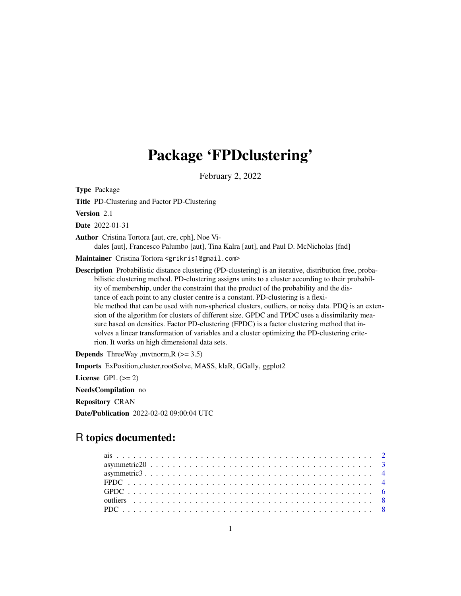# Package 'FPDclustering'

February 2, 2022

<span id="page-0-0"></span>Type Package

Title PD-Clustering and Factor PD-Clustering

Version 2.1

Date 2022-01-31

Author Cristina Tortora [aut, cre, cph], Noe Vi-

dales [aut], Francesco Palumbo [aut], Tina Kalra [aut], and Paul D. McNicholas [fnd]

Maintainer Cristina Tortora <grikris1@gmail.com>

Description Probabilistic distance clustering (PD-clustering) is an iterative, distribution free, probabilistic clustering method. PD-clustering assigns units to a cluster according to their probability of membership, under the constraint that the product of the probability and the distance of each point to any cluster centre is a constant. PD-clustering is a flexible method that can be used with non-spherical clusters, outliers, or noisy data. PDQ is an extension of the algorithm for clusters of different size. GPDC and TPDC uses a dissimilarity measure based on densities. Factor PD-clustering (FPDC) is a factor clustering method that involves a linear transformation of variables and a cluster optimizing the PD-clustering criterion. It works on high dimensional data sets.

**Depends** ThreeWay , mvtnorm,  $R$  ( $>= 3.5$ )

Imports ExPosition,cluster,rootSolve, MASS, klaR, GGally, ggplot2

License GPL  $(>= 2)$ 

NeedsCompilation no

Repository CRAN

Date/Publication 2022-02-02 09:00:04 UTC

# R topics documented: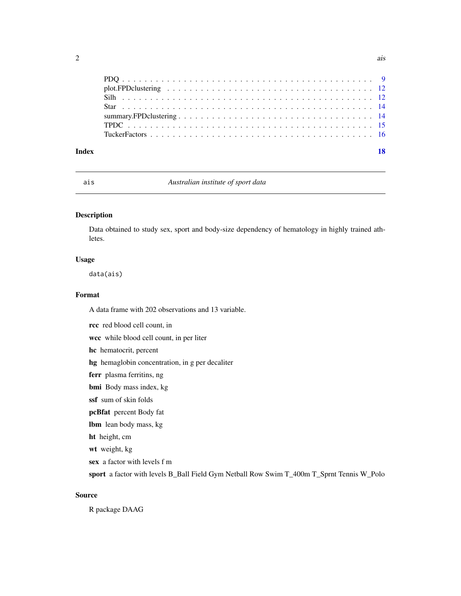<span id="page-1-0"></span>

| Index | 18 |
|-------|----|
|       |    |

# ais *Australian institute of sport data*

# Description

Data obtained to study sex, sport and body-size dependency of hematology in highly trained athletes.

#### Usage

data(ais)

# Format

A data frame with 202 observations and 13 variable.

rcc red blood cell count, in wcc while blood cell count, in per liter hc hematocrit, percent hg hemaglobin concentration, in g per decaliter ferr plasma ferritins, ng bmi Body mass index, kg ssf sum of skin folds pcBfat percent Body fat lbm lean body mass, kg ht height, cm wt weight, kg sex a factor with levels f m sport a factor with levels B\_Ball Field Gym Netball Row Swim T\_400m T\_Sprnt Tennis W\_Polo

# Source

R package DAAG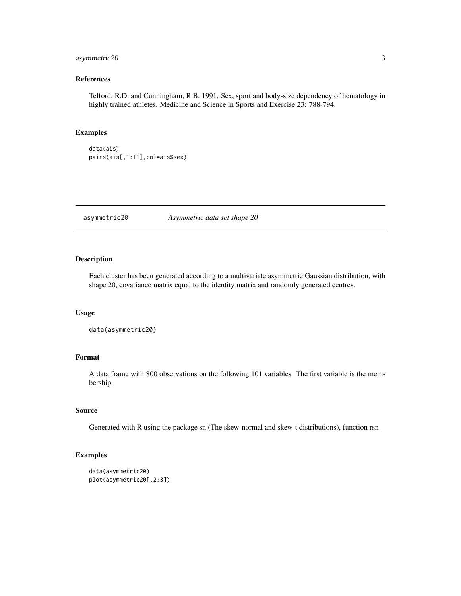# <span id="page-2-0"></span>asymmetric 20 3

# References

Telford, R.D. and Cunningham, R.B. 1991. Sex, sport and body-size dependency of hematology in highly trained athletes. Medicine and Science in Sports and Exercise 23: 788-794.

# Examples

```
data(ais)
pairs(ais[,1:11],col=ais$sex)
```
asymmetric20 *Asymmetric data set shape 20*

# Description

Each cluster has been generated according to a multivariate asymmetric Gaussian distribution, with shape 20, covariance matrix equal to the identity matrix and randomly generated centres.

#### Usage

```
data(asymmetric20)
```
# Format

A data frame with 800 observations on the following 101 variables. The first variable is the membership.

#### Source

Generated with R using the package sn (The skew-normal and skew-t distributions), function rsn

## Examples

```
data(asymmetric20)
plot(asymmetric20[,2:3])
```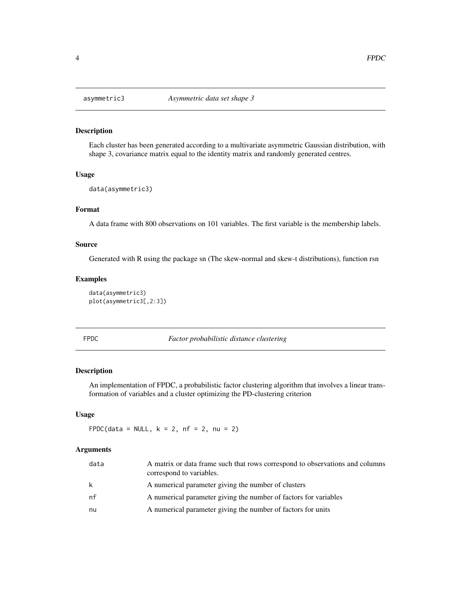Each cluster has been generated according to a multivariate asymmetric Gaussian distribution, with shape 3, covariance matrix equal to the identity matrix and randomly generated centres.

#### Usage

```
data(asymmetric3)
```
# Format

A data frame with 800 observations on 101 variables. The first variable is the membership labels.

#### Source

Generated with R using the package sn (The skew-normal and skew-t distributions), function rsn

# Examples

```
data(asymmetric3)
plot(asymmetric3[,2:3])
```
FPDC *Factor probabilistic distance clustering*

# Description

An implementation of FPDC, a probabilistic factor clustering algorithm that involves a linear transformation of variables and a cluster optimizing the PD-clustering criterion

#### Usage

FPDC(data = NULL,  $k = 2$ ,  $nf = 2$ ,  $nu = 2$ )

| data | A matrix or data frame such that rows correspond to observations and columns<br>correspond to variables. |
|------|----------------------------------------------------------------------------------------------------------|
| k    | A numerical parameter giving the number of clusters                                                      |
| nf   | A numerical parameter giving the number of factors for variables                                         |
| nu   | A numerical parameter giving the number of factors for units                                             |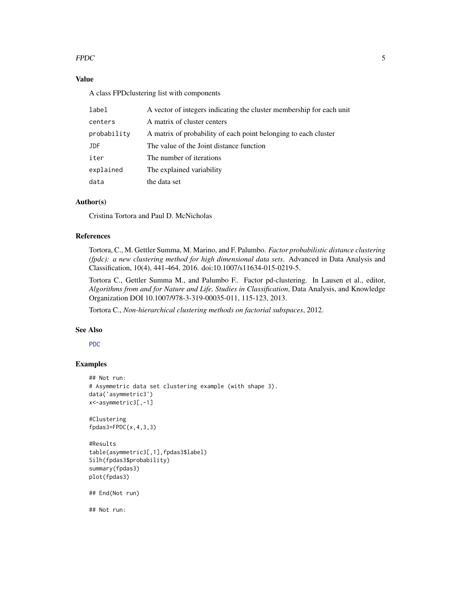# <span id="page-4-0"></span> $FPDC$  5

# Value

A class FPDclustering list with components

| label       | A vector of integers indicating the cluster membership for each unit |
|-------------|----------------------------------------------------------------------|
| centers     | A matrix of cluster centers                                          |
| probability | A matrix of probability of each point belonging to each cluster      |
| JDF         | The value of the Joint distance function                             |
| iter        | The number of iterations                                             |
| explained   | The explained variability                                            |
| data        | the data set                                                         |

# Author(s)

Cristina Tortora and Paul D. McNicholas

# References

Tortora, C., M. Gettler Summa, M. Marino, and F. Palumbo. *Factor probabilistic distance clustering (fpdc): a new clustering method for high dimensional data sets*. Advanced in Data Analysis and Classification, 10(4), 441-464, 2016. doi:10.1007/s11634-015-0219-5.

Tortora C., Gettler Summa M., and Palumbo F.. Factor pd-clustering. In Lausen et al., editor, *Algorithms from and for Nature and Life, Studies in Classification*, Data Analysis, and Knowledge Organization DOI 10.1007/978-3-319-00035-011, 115-123, 2013.

Tortora C., *Non-hierarchical clustering methods on factorial subspaces*, 2012.

#### See Also

[PDC](#page-7-1)

# Examples

```
## Not run:
# Asymmetric data set clustering example (with shape 3).
data('asymmetric3')
x<-asymmetric3[,-1]
```
#Clustering fpdas3=FPDC(x,4,3,3)

```
#Results
table(asymmetric3[,1],fpdas3$label)
Silh(fpdas3$probability)
summary(fpdas3)
plot(fpdas3)
```
## End(Not run)

## Not run: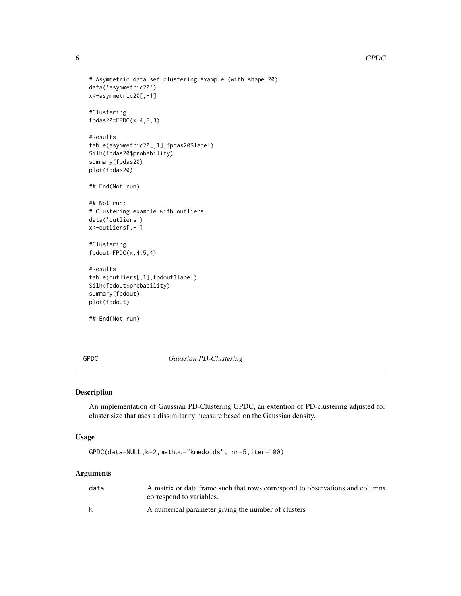```
# Asymmetric data set clustering example (with shape 20).
data('asymmetric20')
x<-asymmetric20[,-1]
#Clustering
fpdas20=FPDC(x,4,3,3)
#Results
table(asymmetric20[,1],fpdas20$label)
Silh(fpdas20$probability)
summary(fpdas20)
plot(fpdas20)
## End(Not run)
## Not run:
# Clustering example with outliers.
data('outliers')
x<-outliers[,-1]
#Clustering
fpdout=FPDC(x,4,5,4)
#Results
table(outliers[,1],fpdout$label)
Silh(fpdout$probability)
summary(fpdout)
plot(fpdout)
```
## End(Not run)

GPDC *Gaussian PD-Clustering*

#### Description

An implementation of Gaussian PD-Clustering GPDC, an extention of PD-clustering adjusted for cluster size that uses a dissimilarity measure based on the Gaussian density.

# Usage

```
GPDC(data=NULL,k=2,method="kmedoids", nr=5,iter=100)
```

| data | A matrix or data frame such that rows correspond to observations and columns<br>correspond to variables. |
|------|----------------------------------------------------------------------------------------------------------|
| k    | A numerical parameter giving the number of clusters                                                      |

<span id="page-5-0"></span>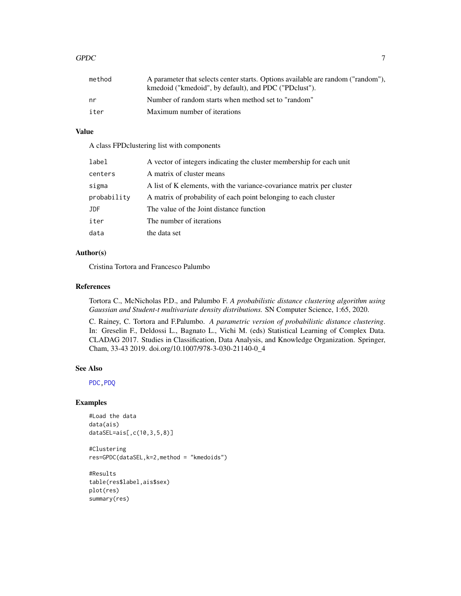#### <span id="page-6-0"></span> $GPDC$  and  $7$

| method | A parameter that selects center starts. Options available are random ("random"),<br>kmedoid ("kmedoid", by default), and PDC ("PDclust"). |
|--------|-------------------------------------------------------------------------------------------------------------------------------------------|
| nr     | Number of random starts when method set to "random"                                                                                       |
| iter   | Maximum number of iterations                                                                                                              |

# Value

A class FPDclustering list with components

| label       | A vector of integers indicating the cluster membership for each unit  |
|-------------|-----------------------------------------------------------------------|
| centers     | A matrix of cluster means                                             |
| sigma       | A list of K elements, with the variance-covariance matrix per cluster |
| probability | A matrix of probability of each point belonging to each cluster       |
| <b>JDF</b>  | The value of the Joint distance function                              |
| iter        | The number of iterations                                              |
| data        | the data set                                                          |

# Author(s)

Cristina Tortora and Francesco Palumbo

# References

Tortora C., McNicholas P.D., and Palumbo F. *A probabilistic distance clustering algorithm using Gaussian and Student-t multivariate density distributions.* SN Computer Science, 1:65, 2020.

C. Rainey, C. Tortora and F.Palumbo. *A parametric version of probabilistic distance clustering*. In: Greselin F., Deldossi L., Bagnato L., Vichi M. (eds) Statistical Learning of Complex Data. CLADAG 2017. Studies in Classification, Data Analysis, and Knowledge Organization. Springer, Cham, 33-43 2019. doi.org/10.1007/978-3-030-21140-0\_4

# See Also

[PDC](#page-7-1)[,PDQ](#page-8-1)

# Examples

```
#Load the data
data(ais)
dataSEL=ais[,c(10,3,5,8)]
```
#Clustering res=GPDC(dataSEL,k=2,method = "kmedoids")

```
#Results
table(res$label,ais$sex)
plot(res)
summary(res)
```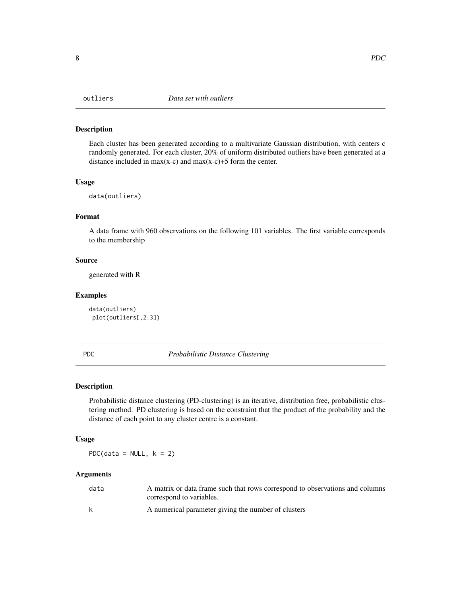<span id="page-7-0"></span>Each cluster has been generated according to a multivariate Gaussian distribution, with centers c randomly generated. For each cluster, 20% of uniform distributed outliers have been generated at a distance included in max(x-c) and max(x-c)+5 form the center.

# Usage

data(outliers)

# Format

A data frame with 960 observations on the following 101 variables. The first variable corresponds to the membership

# Source

generated with R

### Examples

data(outliers) plot(outliers[,2:3])

#### <span id="page-7-1"></span>PDC *Probabilistic Distance Clustering*

#### Description

Probabilistic distance clustering (PD-clustering) is an iterative, distribution free, probabilistic clustering method. PD clustering is based on the constraint that the product of the probability and the distance of each point to any cluster centre is a constant.

# Usage

PDC(data =  $NULL, k = 2)$ 

| data | A matrix or data frame such that rows correspond to observations and columns |
|------|------------------------------------------------------------------------------|
|      | correspond to variables.                                                     |
| k    | A numerical parameter giving the number of clusters                          |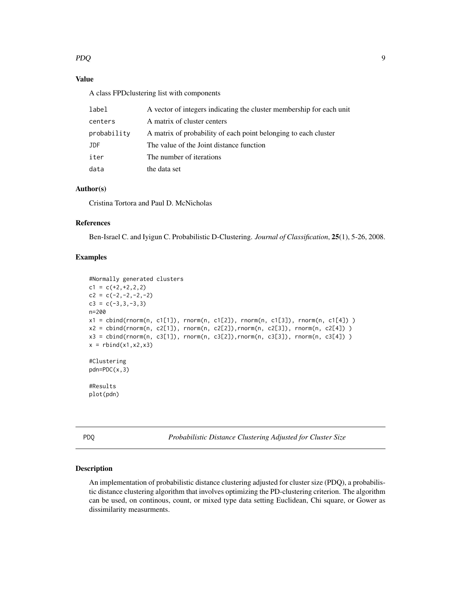# <span id="page-8-0"></span>PDQ 9

# Value

A class FPDclustering list with components

| label       | A vector of integers indicating the cluster membership for each unit |
|-------------|----------------------------------------------------------------------|
| centers     | A matrix of cluster centers                                          |
| probability | A matrix of probability of each point belonging to each cluster      |
| <b>JDF</b>  | The value of the Joint distance function                             |
| iter        | The number of iterations                                             |
| data        | the data set                                                         |

# Author(s)

Cristina Tortora and Paul D. McNicholas

# References

Ben-Israel C. and Iyigun C. Probabilistic D-Clustering. *Journal of Classification*, 25(1), 5-26, 2008.

# Examples

```
#Normally generated clusters
c1 = c(+2,+2,2,2)c2 = c(-2, -2, -2, -2)c3 = c(-3, 3, -3, 3)n=200
x1 = cbind(rnorm(n, c1[1]), rnorm(n, c1[2]), rnorm(n, c1[3]), rnorm(n, c1[4]) )
x2 = cbind(rnorm(n, c2[1]), rnorm(n, c2[2]),rnorm(n, c2[3]), rnorm(n, c2[4]) )
x3 = cbind(rnorm(n, c3[1]), rnorm(n, c3[2]),rnorm(n, c3[3]), rnorm(n, c3[4]) )
x = \text{rbind}(x1, x2, x3)#Clustering
pdn=PDC(x,3)
#Results
plot(pdn)
```
<span id="page-8-1"></span>PDQ *Probabilistic Distance Clustering Adjusted for Cluster Size*

#### Description

An implementation of probabilistic distance clustering adjusted for cluster size (PDQ), a probabilistic distance clustering algorithm that involves optimizing the PD-clustering criterion. The algorithm can be used, on continous, count, or mixed type data setting Euclidean, Chi square, or Gower as dissimilarity measurments.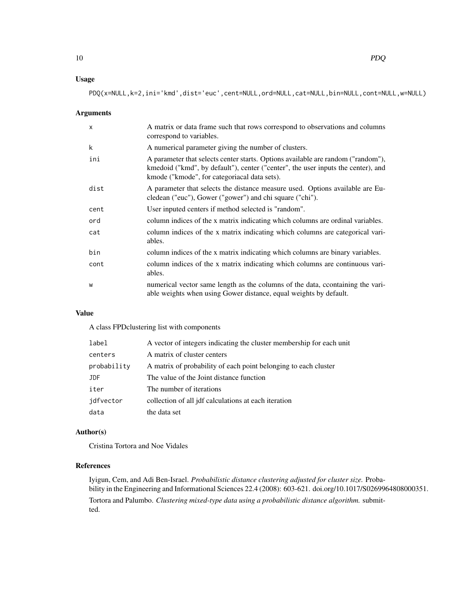# Usage

PDQ(x=NULL,k=2,ini='kmd',dist='euc',cent=NULL,ord=NULL,cat=NULL,bin=NULL,cont=NULL,w=NULL)

#### Arguments

| $\mathsf{x}$ | A matrix or data frame such that rows correspond to observations and columns<br>correspond to variables.                                                                                                             |
|--------------|----------------------------------------------------------------------------------------------------------------------------------------------------------------------------------------------------------------------|
| k            | A numerical parameter giving the number of clusters.                                                                                                                                                                 |
| ini          | A parameter that selects center starts. Options available are random ("random"),<br>kmedoid ("kmd", by default"), center ("center", the user inputs the center), and<br>kmode ("kmode", for categoriacal data sets). |
| dist         | A parameter that selects the distance measure used. Options available are Eu-<br>cledean ("euc"), Gower ("gower") and chi square ("chi").                                                                            |
| cent         | User inputed centers if method selected is "random".                                                                                                                                                                 |
| ord          | column indices of the x matrix indicating which columns are ordinal variables.                                                                                                                                       |
| cat          | column indices of the x matrix indicating which columns are categorical vari-<br>ables.                                                                                                                              |
| bin          | column indices of the x matrix indicating which columns are binary variables.                                                                                                                                        |
| cont         | column indices of the x matrix indicating which columns are continuous vari-<br>ables.                                                                                                                               |
| W            | numerical vector same length as the columns of the data, coontaining the vari-<br>able weights when using Gower distance, equal weights by default.                                                                  |

# Value

A class FPDclustering list with components

| label       | A vector of integers indicating the cluster membership for each unit |
|-------------|----------------------------------------------------------------------|
| centers     | A matrix of cluster centers                                          |
| probability | A matrix of probability of each point belonging to each cluster      |
| JDF.        | The value of the Joint distance function                             |
| iter        | The number of iterations                                             |
| idfvector   | collection of all jdf calculations at each iteration                 |
| data        | the data set                                                         |

# Author(s)

Cristina Tortora and Noe Vidales

# References

Iyigun, Cem, and Adi Ben-Israel. *Probabilistic distance clustering adjusted for cluster size.* Probability in the Engineering and Informational Sciences 22.4 (2008): 603-621. doi.org/10.1017/S0269964808000351. Tortora and Palumbo. *Clustering mixed-type data using a probabilistic distance algorithm.* submitted.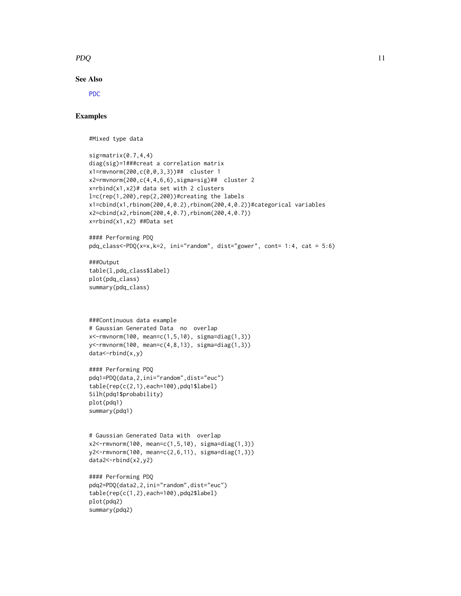# <span id="page-10-0"></span> $PDQ$  and  $11$

# See Also

[PDC](#page-7-1)

# Examples

#Mixed type data

```
sig=matrix(0.7, 4, 4)diag(sig)=1###creat a correlation matrix
x1=rmvnorm(200,c(0,0,3,3))## cluster 1
x2=rmvnorm(200,c(4,4,6,6),sigma=sig)## cluster 2
x = r \cdot r \cdot x x 2 \neq d data set with 2 clusters
l=c(rep(1,200),rep(2,200))#creating the labels
x1=cbind(x1,rbinom(200,4,0.2),rbinom(200,4,0.2))#categorical variables
x2=cbind(x2,rbinom(200,4,0.7),rbinom(200,4,0.7))
x=rbind(x1,x2) ##Data set
#### Performing PDQ
pdq_class<-PDQ(x=x,k=2, ini="random", dist="gower", cont= 1:4, cat = 5:6)
###Output
table(l,pdq_class$label)
plot(pdq_class)
summary(pdq_class)
###Continuous data example
# Gaussian Generated Data no overlap
x<-rmvnorm(100, mean=c(1,5,10), sigma=diag(1,3))
y<-rmvnorm(100, mean=c(4,8,13), sigma=diag(1,3))
data<-rbind(x,y)
#### Performing PDQ
pdq1=PDQ(data,2,ini="random",dist="euc")
table(rep(c(2,1),each=100),pdq1$label)
Silh(pdq1$probability)
plot(pdq1)
summary(pdq1)
# Gaussian Generated Data with overlap
x2<-rmvnorm(100, mean=c(1,5,10), sigma=diag(1,3))
y2<-rmvnorm(100, mean=c(2,6,11), sigma=diag(1,3))
data2<-rbind(x2,y2)
#### Performing PDQ
pdq2=PDQ(data2,2,ini="random",dist="euc")
table(rep(c(1,2),each=100),pdq2$label)
plot(pdq2)
summary(pdq2)
```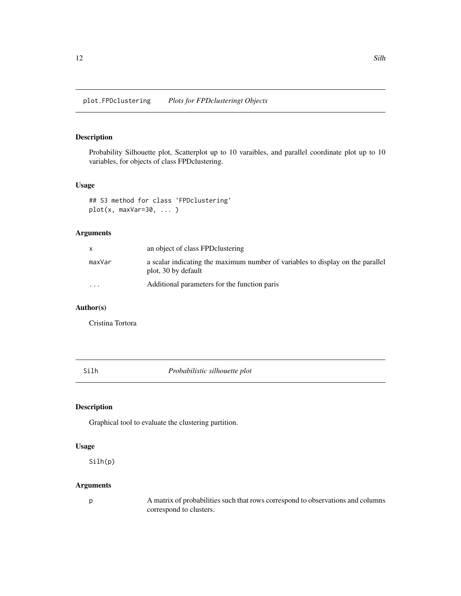<span id="page-11-0"></span>Probability Silhouette plot, Scatterplot up to 10 varaibles, and parallel coordinate plot up to 10 variables, for objects of class FPDclustering.

#### Usage

```
## S3 method for class 'FPDclustering'
plot(x, maxVar=30, ... )
```
# Arguments

|                         | an object of class FPD clustering                                                                     |
|-------------------------|-------------------------------------------------------------------------------------------------------|
| maxVar                  | a scalar indicating the maximum number of variables to display on the parallel<br>plot, 30 by default |
| $\cdot$ $\cdot$ $\cdot$ | Additional parameters for the function paris                                                          |

# Author(s)

Cristina Tortora

Silh *Probabilistic silhouette plot*

# Description

Graphical tool to evaluate the clustering partition.

# Usage

Silh(p)

# Arguments

p A matrix of probabilities such that rows correspond to observations and columns correspond to clusters.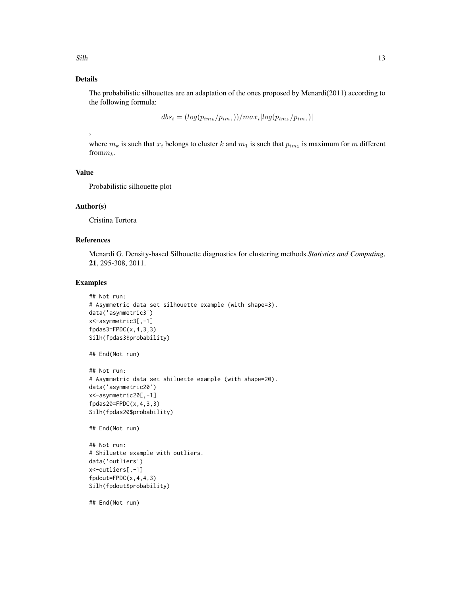# Details

The probabilistic silhouettes are an adaptation of the ones proposed by Menardi(2011) according to the following formula:

 $dbs_i = (log(p_{im_k}/p_{im_1}))/max_i |log(p_{im_k}/p_{im_1})|$ 

where  $m_k$  is such that  $x_i$  belongs to cluster k and  $m_1$  is such that  $p_{im_1}$  is maximum for m different from  $m_k$ .

#### Value

,

Probabilistic silhouette plot

#### Author(s)

Cristina Tortora

#### References

Menardi G. Density-based Silhouette diagnostics for clustering methods.*Statistics and Computing*, 21, 295-308, 2011.

# Examples

```
## Not run:
# Asymmetric data set silhouette example (with shape=3).
data('asymmetric3')
x<-asymmetric3[,-1]
fpdas3=FPDC(x,4,3,3)Silh(fpdas3$probability)
## End(Not run)
## Not run:
# Asymmetric data set shiluette example (with shape=20).
data('asymmetric20')
x<-asymmetric20[,-1]
fpdas20=FPDC(x,4,3,3)
Silh(fpdas20$probability)
## End(Not run)
## Not run:
# Shiluette example with outliers.
data('outliers')
x<-outliers[,-1]
fpdout=FPDC(x,4,4,3)
```
Silh(fpdout\$probability)

## End(Not run)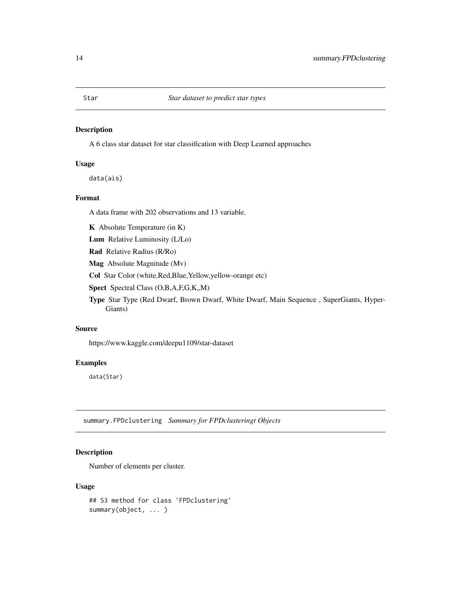A 6 class star dataset for star classification with Deep Learned approaches

# Usage

data(ais)

# Format

A data frame with 202 observations and 13 variable.

K Absolute Temperature (in K)

Lum Relative Luminosity (L/Lo)

Rad Relative Radius (R/Ro)

Mag Absolute Magnitude (Mv)

Col Star Color (white,Red,Blue,Yellow,yellow-orange etc)

Spect Spectral Class (O,B,A,F,G,K,,M)

Type Star Type (Red Dwarf, Brown Dwarf, White Dwarf, Main Sequence , SuperGiants, Hyper-Giants)

#### Source

https://www.kaggle.com/deepu1109/star-dataset

#### Examples

data(Star)

summary.FPDclustering *Summary for FPDclusteringt Objects*

# Description

Number of elements per cluster.

#### Usage

```
## S3 method for class 'FPDclustering'
summary(object, ... )
```
<span id="page-13-0"></span>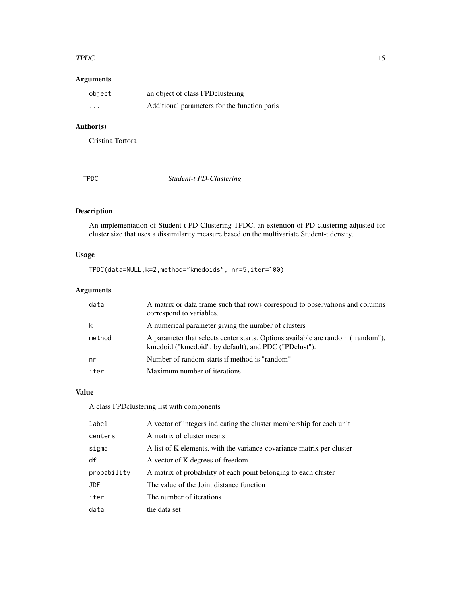#### <span id="page-14-0"></span> $TPDC$  and  $T$  is the set of  $T$  is the set of  $T$  is the set of  $T$  is the set of  $T$  is the set of  $T$  is the set of  $T$  is the set of  $T$  is the set of  $T$  is the set of  $T$  is the set of  $T$  is the set of  $T$  is the se

# Arguments

| object   | an object of class FPD clustering            |
|----------|----------------------------------------------|
| $\cdots$ | Additional parameters for the function paris |

# Author(s)

Cristina Tortora

TPDC *Student-t PD-Clustering*

# Description

An implementation of Student-t PD-Clustering TPDC, an extention of PD-clustering adjusted for cluster size that uses a dissimilarity measure based on the multivariate Student-t density.

# Usage

TPDC(data=NULL,k=2,method="kmedoids", nr=5,iter=100)

# Arguments

| data   | A matrix or data frame such that rows correspond to observations and columns<br>correspond to variables.                                  |
|--------|-------------------------------------------------------------------------------------------------------------------------------------------|
| k      | A numerical parameter giving the number of clusters                                                                                       |
| method | A parameter that selects center starts. Options available are random ("random"),<br>kmedoid ("kmedoid", by default), and PDC ("PDclust"). |
| nr     | Number of random starts if method is "random"                                                                                             |
| iter   | Maximum number of iterations                                                                                                              |

# Value

A class FPDclustering list with components

| label       | A vector of integers indicating the cluster membership for each unit  |
|-------------|-----------------------------------------------------------------------|
| centers     | A matrix of cluster means                                             |
| sigma       | A list of K elements, with the variance-covariance matrix per cluster |
| df          | A vector of K degrees of freedom                                      |
|             |                                                                       |
| probability | A matrix of probability of each point belonging to each cluster       |
| <b>JDF</b>  | The value of the Joint distance function                              |
| iter        | The number of iterations                                              |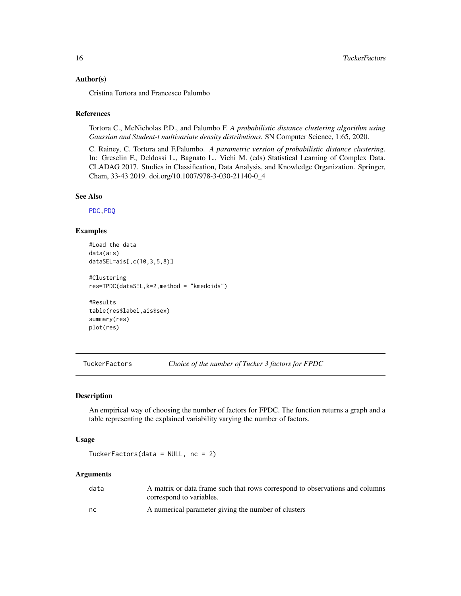#### <span id="page-15-0"></span>Author(s)

Cristina Tortora and Francesco Palumbo

#### References

Tortora C., McNicholas P.D., and Palumbo F. *A probabilistic distance clustering algorithm using Gaussian and Student-t multivariate density distributions.* SN Computer Science, 1:65, 2020.

C. Rainey, C. Tortora and F.Palumbo. *A parametric version of probabilistic distance clustering*. In: Greselin F., Deldossi L., Bagnato L., Vichi M. (eds) Statistical Learning of Complex Data. CLADAG 2017. Studies in Classification, Data Analysis, and Knowledge Organization. Springer, Cham, 33-43 2019. doi.org/10.1007/978-3-030-21140-0\_4

# See Also

[PDC](#page-7-1)[,PDQ](#page-8-1)

# Examples

```
#Load the data
data(ais)
dataSEL=ais[,c(10,3,5,8)]
```

```
#Clustering
res=TPDC(dataSEL,k=2,method = "kmedoids")
```

```
#Results
table(res$label,ais$sex)
summary(res)
plot(res)
```
TuckerFactors *Choice of the number of Tucker 3 factors for FPDC*

#### Description

An empirical way of choosing the number of factors for FPDC. The function returns a graph and a table representing the explained variability varying the number of factors.

#### Usage

TuckerFactors(data = NULL, nc = 2)

| data | A matrix or data frame such that rows correspond to observations and columns |
|------|------------------------------------------------------------------------------|
|      | correspond to variables.                                                     |
| nc   | A numerical parameter giving the number of clusters                          |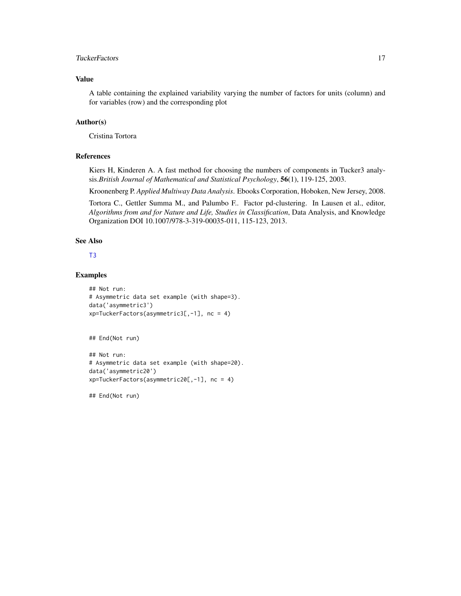# <span id="page-16-0"></span>TuckerFactors **17**

# Value

A table containing the explained variability varying the number of factors for units (column) and for variables (row) and the corresponding plot

# Author(s)

Cristina Tortora

## References

Kiers H, Kinderen A. A fast method for choosing the numbers of components in Tucker3 analysis.*British Journal of Mathematical and Statistical Psychology*, 56(1), 119-125, 2003.

Kroonenberg P. *Applied Multiway Data Analysis*. Ebooks Corporation, Hoboken, New Jersey, 2008.

Tortora C., Gettler Summa M., and Palumbo F.. Factor pd-clustering. In Lausen et al., editor, *Algorithms from and for Nature and Life, Studies in Classification*, Data Analysis, and Knowledge Organization DOI 10.1007/978-3-319-00035-011, 115-123, 2013.

# See Also

#### [T3](#page-0-0)

#### Examples

```
## Not run:
# Asymmetric data set example (with shape=3).
data('asymmetric3')
xp=TuckerFactors(asymmetric3[,-1], nc = 4)
```
## End(Not run)

```
## Not run:
# Asymmetric data set example (with shape=20).
data('asymmetric20')
xp=TuckerFactors(asymmetric20[,-1], nc = 4)
```
## End(Not run)